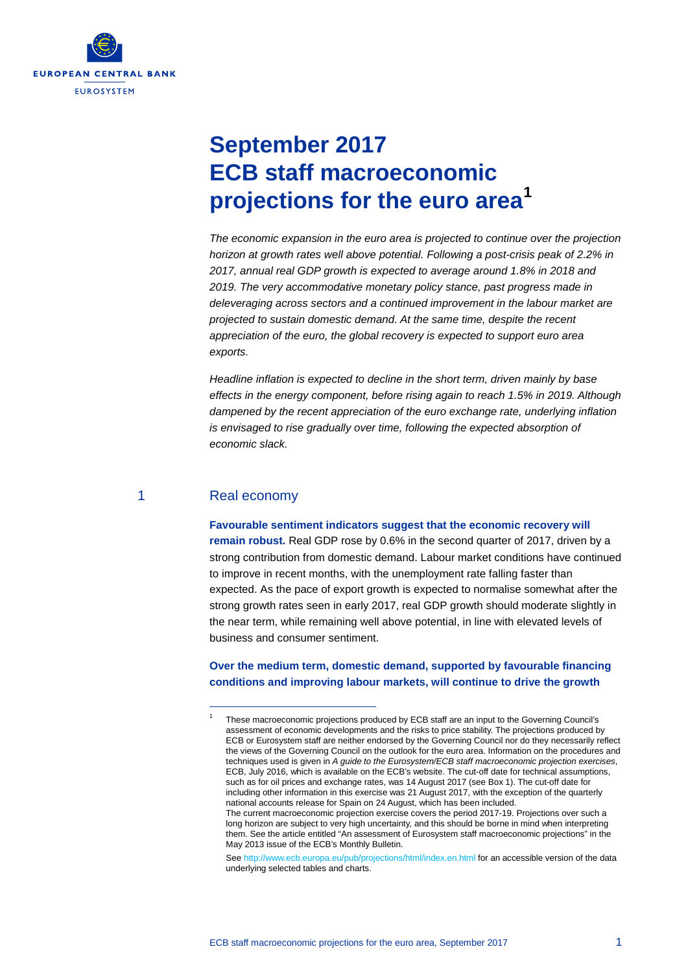

# **September 2017 ECB staff macroeconomic projections for the euro area[1](#page-0-0)**

*The economic expansion in the euro area is projected to continue over the projection horizon at growth rates well above potential. Following a post-crisis peak of 2.2% in 2017, annual real GDP growth is expected to average around 1.8% in 2018 and 2019. The very accommodative monetary policy stance, past progress made in deleveraging across sectors and a continued improvement in the labour market are projected to sustain domestic demand. At the same time, despite the recent appreciation of the euro, the global recovery is expected to support euro area exports.* 

*Headline inflation is expected to decline in the short term, driven mainly by base effects in the energy component, before rising again to reach 1.5% in 2019. Although dampened by the recent appreciation of the euro exchange rate, underlying inflation is envisaged to rise gradually over time, following the expected absorption of economic slack.*

#### 1 Real economy

<span id="page-0-0"></span>-

#### **Favourable sentiment indicators suggest that the economic recovery will**

**remain robust.** Real GDP rose by 0.6% in the second quarter of 2017, driven by a strong contribution from domestic demand. Labour market conditions have continued to improve in recent months, with the unemployment rate falling faster than expected. As the pace of export growth is expected to normalise somewhat after the strong growth rates seen in early 2017, real GDP growth should moderate slightly in the near term, while remaining well above potential, in line with elevated levels of business and consumer sentiment.

### **Over the medium term, domestic demand, supported by favourable financing conditions and improving labour markets, will continue to drive the growth**

Se[e http://www.ecb.europa.eu/pub/projections/html/index.en.html](http://www.ecb.europa.eu/pub/projections/html/index.en.html) for an accessible version of the data underlying selected tables and charts.

<sup>1</sup> These macroeconomic projections produced by ECB staff are an input to the Governing Council's assessment of economic developments and the risks to price stability. The projections produced by ECB or Eurosystem staff are neither endorsed by the Governing Council nor do they necessarily reflect the views of the Governing Council on the outlook for the euro area. Information on the procedures and techniques used is given in *A guide to the Eurosystem/ECB staff macroeconomic projection exercises*, ECB, July 2016, which is available on the ECB's website. The cut-off date for technical assumptions, such as for oil prices and exchange rates, was 14 August 2017 (see Box 1). The cut-off date for including other information in this exercise was 21 August 2017, with the exception of the quarterly national accounts release for Spain on 24 August, which has been included. The current macroeconomic projection exercise covers the period 2017-19. Projections over such a long horizon are subject to very high uncertainty, and this should be borne in mind when interpreting them. See the article entitled "An assessment of Eurosystem staff macroeconomic projections" in the May 2013 issue of the ECB's Monthly Bulletin.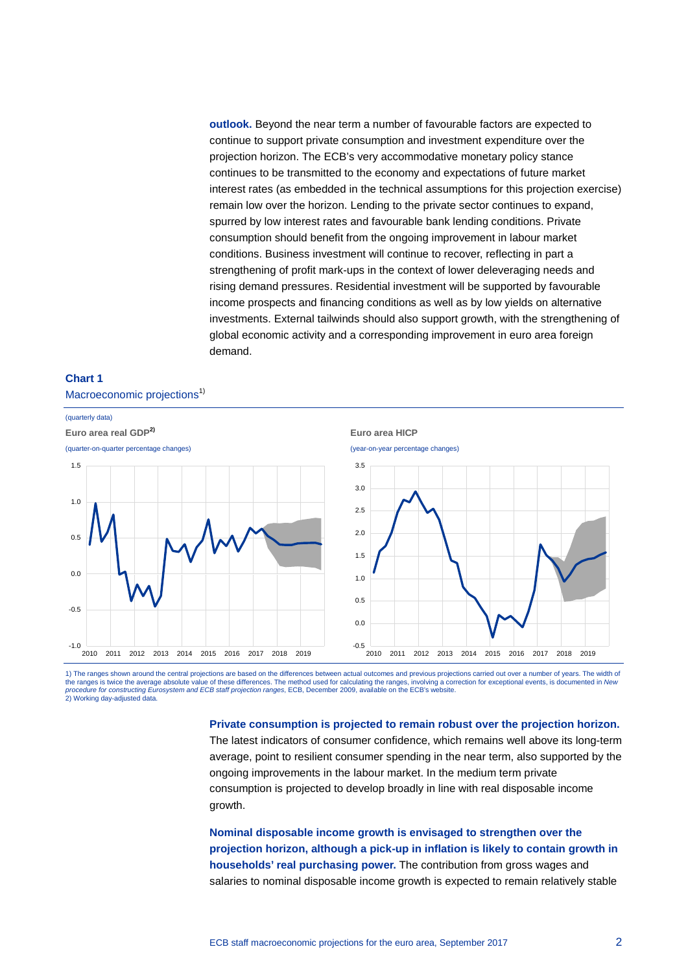**outlook.** Beyond the near term a number of favourable factors are expected to continue to support private consumption and investment expenditure over the projection horizon. The ECB's very accommodative monetary policy stance continues to be transmitted to the economy and expectations of future market interest rates (as embedded in the technical assumptions for this projection exercise) remain low over the horizon. Lending to the private sector continues to expand, spurred by low interest rates and favourable bank lending conditions. Private consumption should benefit from the ongoing improvement in labour market conditions. Business investment will continue to recover, reflecting in part a strengthening of profit mark-ups in the context of lower deleveraging needs and rising demand pressures. Residential investment will be supported by favourable income prospects and financing conditions as well as by low yields on alternative investments. External tailwinds should also support growth, with the strengthening of global economic activity and a corresponding improvement in euro area foreign demand.





1) The ranges shown around the central projections are based on the differences between actual outcomes and previous projections carried out over a number of years. The width of the ranges is twice the average absolute value of these differences. The method used for calculating the ranges, involving a correction for exceptional events, is documented in *New*<br>*procedure for constructing Eurosystem* 2) Working day-adjusted data.

#### **Private consumption is projected to remain robust over the projection horizon.**

The latest indicators of consumer confidence, which remains well above its long-term average, point to resilient consumer spending in the near term, also supported by the ongoing improvements in the labour market. In the medium term private consumption is projected to develop broadly in line with real disposable income growth.

**Nominal disposable income growth is envisaged to strengthen over the projection horizon, although a pick-up in inflation is likely to contain growth in households' real purchasing power.** The contribution from gross wages and salaries to nominal disposable income growth is expected to remain relatively stable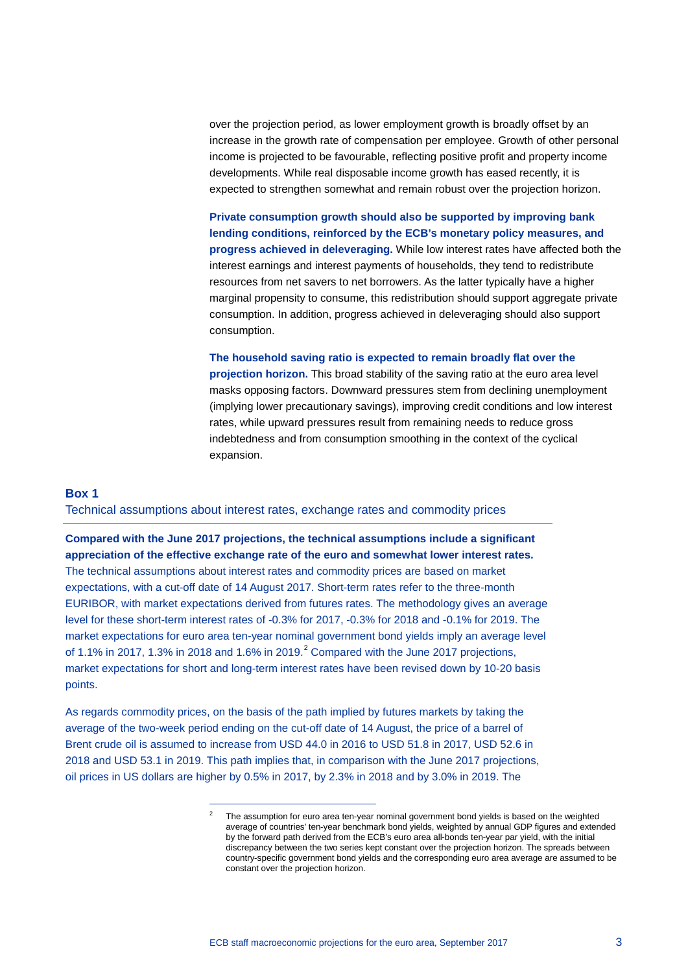over the projection period, as lower employment growth is broadly offset by an increase in the growth rate of compensation per employee. Growth of other personal income is projected to be favourable, reflecting positive profit and property income developments. While real disposable income growth has eased recently, it is expected to strengthen somewhat and remain robust over the projection horizon.

**Private consumption growth should also be supported by improving bank lending conditions, reinforced by the ECB's monetary policy measures, and progress achieved in deleveraging.** While low interest rates have affected both the interest earnings and interest payments of households, they tend to redistribute resources from net savers to net borrowers. As the latter typically have a higher marginal propensity to consume, this redistribution should support aggregate private consumption. In addition, progress achieved in deleveraging should also support consumption.

**The household saving ratio is expected to remain broadly flat over the projection horizon.** This broad stability of the saving ratio at the euro area level masks opposing factors. Downward pressures stem from declining unemployment (implying lower precautionary savings), improving credit conditions and low interest rates, while upward pressures result from remaining needs to reduce gross indebtedness and from consumption smoothing in the context of the cyclical expansion.

#### **Box 1**

Technical assumptions about interest rates, exchange rates and commodity prices

**Compared with the June 2017 projections, the technical assumptions include a significant appreciation of the effective exchange rate of the euro and somewhat lower interest rates.** The technical assumptions about interest rates and commodity prices are based on market expectations, with a cut-off date of 14 August 2017. Short-term rates refer to the three-month EURIBOR, with market expectations derived from futures rates. The methodology gives an average level for these short-term interest rates of -0.3% for 2017, -0.3% for 2018 and -0.1% for 2019. The market expectations for euro area ten-year nominal government bond yields imply an average level of 1.1% in [2](#page-2-0)017, 1.3% in 2018 and 1.6% in 2019.<sup>2</sup> Compared with the June 2017 projections, market expectations for short and long-term interest rates have been revised down by 10-20 basis points.

<span id="page-2-0"></span>As regards commodity prices, on the basis of the path implied by futures markets by taking the average of the two-week period ending on the cut-off date of 14 August, the price of a barrel of Brent crude oil is assumed to increase from USD 44.0 in 2016 to USD 51.8 in 2017, USD 52.6 in 2018 and USD 53.1 in 2019. This path implies that, in comparison with the June 2017 projections, oil prices in US dollars are higher by 0.5% in 2017, by 2.3% in 2018 and by 3.0% in 2019. The

-

The assumption for euro area ten-year nominal government bond yields is based on the weighted average of countries' ten-year benchmark bond yields, weighted by annual GDP figures and extended by the forward path derived from the ECB's euro area all-bonds ten-year par yield, with the initial discrepancy between the two series kept constant over the projection horizon. The spreads between country-specific government bond yields and the corresponding euro area average are assumed to be constant over the projection horizon.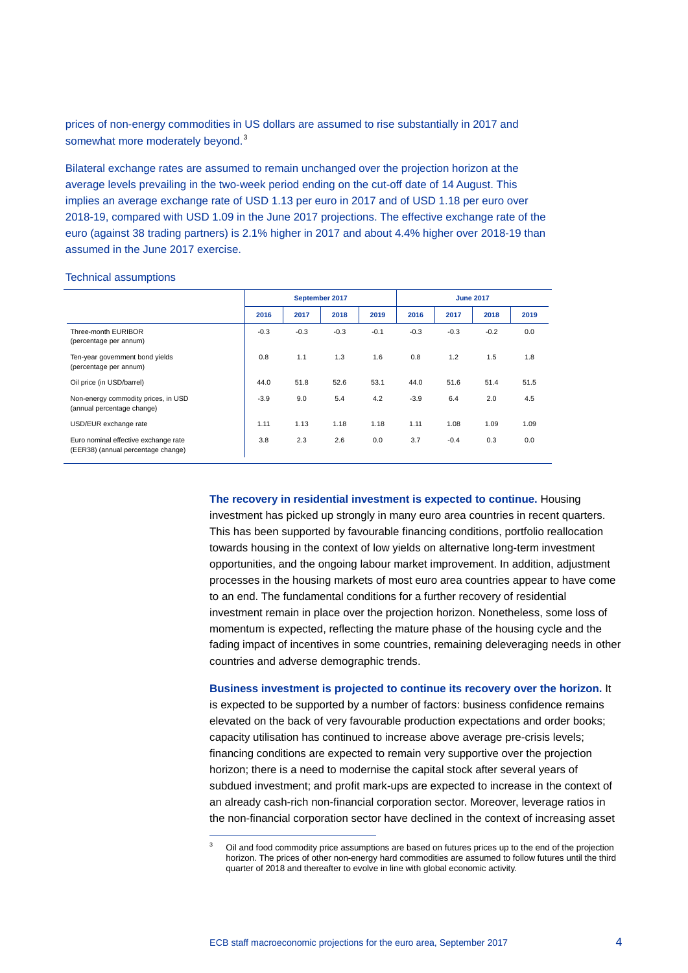prices of non-energy commodities in US dollars are assumed to rise substantially in 2017 and somewhat more moderately beyond.<sup>[3](#page-3-0)</sup>

Bilateral exchange rates are assumed to remain unchanged over the projection horizon at the average levels prevailing in the two-week period ending on the cut-off date of 14 August. This implies an average exchange rate of USD 1.13 per euro in 2017 and of USD 1.18 per euro over 2018-19, compared with USD 1.09 in the June 2017 projections. The effective exchange rate of the euro (against 38 trading partners) is 2.1% higher in 2017 and about 4.4% higher over 2018-19 than assumed in the June 2017 exercise.

#### Technical assumptions

|                                                                            | September 2017 |        |        |        | <b>June 2017</b> |        |        |      |
|----------------------------------------------------------------------------|----------------|--------|--------|--------|------------------|--------|--------|------|
|                                                                            | 2016           | 2017   | 2018   | 2019   | 2016             | 2017   | 2018   | 2019 |
| Three-month EURIBOR<br>(percentage per annum)                              | $-0.3$         | $-0.3$ | $-0.3$ | $-0.1$ | $-0.3$           | $-0.3$ | $-0.2$ | 0.0  |
| Ten-year government bond yields<br>(percentage per annum)                  | 0.8            | 1.1    | 1.3    | 1.6    | 0.8              | 1.2    | 1.5    | 1.8  |
| Oil price (in USD/barrel)                                                  | 44.0           | 51.8   | 52.6   | 53.1   | 44.0             | 51.6   | 51.4   | 51.5 |
| Non-energy commodity prices, in USD<br>(annual percentage change)          | $-3.9$         | 9.0    | 5.4    | 4.2    | $-3.9$           | 6.4    | 2.0    | 4.5  |
| USD/EUR exchange rate                                                      | 1.11           | 1.13   | 1.18   | 1.18   | 1.11             | 1.08   | 1.09   | 1.09 |
| Euro nominal effective exchange rate<br>(EER38) (annual percentage change) | 3.8            | 2.3    | 2.6    | 0.0    | 3.7              | $-0.4$ | 0.3    | 0.0  |

**The recovery in residential investment is expected to continue.** Housing investment has picked up strongly in many euro area countries in recent quarters. This has been supported by favourable financing conditions, portfolio reallocation towards housing in the context of low yields on alternative long-term investment opportunities, and the ongoing labour market improvement. In addition, adjustment processes in the housing markets of most euro area countries appear to have come to an end. The fundamental conditions for a further recovery of residential investment remain in place over the projection horizon. Nonetheless, some loss of momentum is expected, reflecting the mature phase of the housing cycle and the fading impact of incentives in some countries, remaining deleveraging needs in other countries and adverse demographic trends.

**Business investment is projected to continue its recovery over the horizon.** It is expected to be supported by a number of factors: business confidence remains elevated on the back of very favourable production expectations and order books; capacity utilisation has continued to increase above average pre-crisis levels; financing conditions are expected to remain very supportive over the projection horizon; there is a need to modernise the capital stock after several years of subdued investment; and profit mark-ups are expected to increase in the context of an already cash-rich non-financial corporation sector. Moreover, leverage ratios in the non-financial corporation sector have declined in the context of increasing asset

-

<span id="page-3-0"></span><sup>3</sup> Oil and food commodity price assumptions are based on futures prices up to the end of the projection horizon. The prices of other non-energy hard commodities are assumed to follow futures until the third quarter of 2018 and thereafter to evolve in line with global economic activity.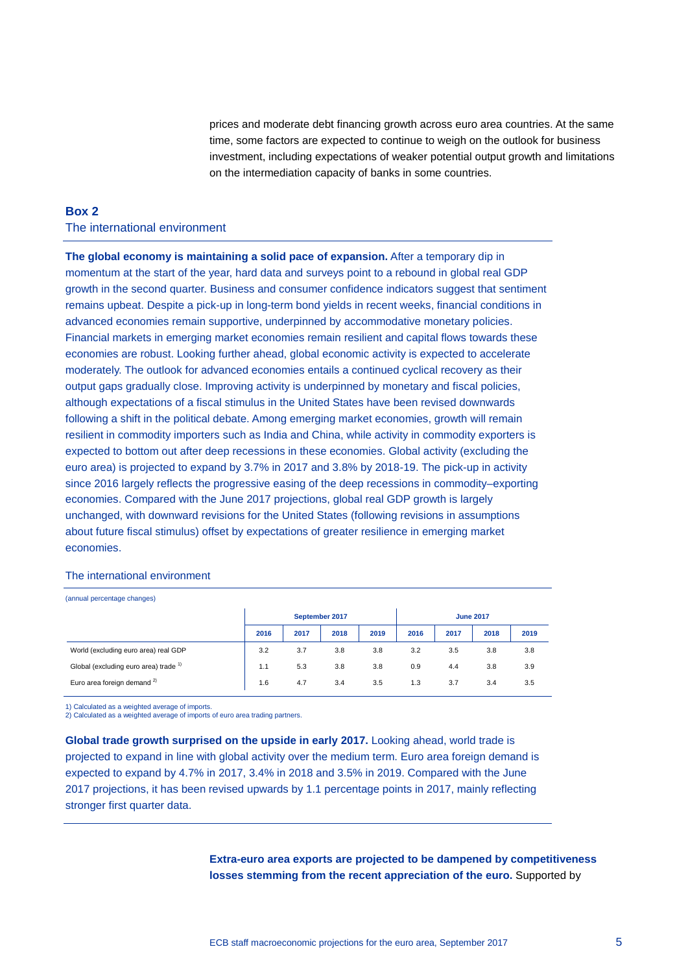prices and moderate debt financing growth across euro area countries. At the same time, some factors are expected to continue to weigh on the outlook for business investment, including expectations of weaker potential output growth and limitations on the intermediation capacity of banks in some countries.

#### **Box 2** The international environment

**The global economy is maintaining a solid pace of expansion.** After a temporary dip in momentum at the start of the year, hard data and surveys point to a rebound in global real GDP growth in the second quarter. Business and consumer confidence indicators suggest that sentiment remains upbeat. Despite a pick-up in long-term bond yields in recent weeks, financial conditions in advanced economies remain supportive, underpinned by accommodative monetary policies. Financial markets in emerging market economies remain resilient and capital flows towards these economies are robust. Looking further ahead, global economic activity is expected to accelerate moderately. The outlook for advanced economies entails a continued cyclical recovery as their output gaps gradually close. Improving activity is underpinned by monetary and fiscal policies, although expectations of a fiscal stimulus in the United States have been revised downwards following a shift in the political debate. Among emerging market economies, growth will remain resilient in commodity importers such as India and China, while activity in commodity exporters is expected to bottom out after deep recessions in these economies. Global activity (excluding the euro area) is projected to expand by 3.7% in 2017 and 3.8% by 2018-19. The pick-up in activity since 2016 largely reflects the progressive easing of the deep recessions in commodity–exporting economies. Compared with the June 2017 projections, global real GDP growth is largely unchanged, with downward revisions for the United States (following revisions in assumptions about future fiscal stimulus) offset by expectations of greater resilience in emerging market economies.

#### The international environment

(annual percentage changes)

|                                                  | September 2017 |      |      |      | <b>June 2017</b> |      |      |      |
|--------------------------------------------------|----------------|------|------|------|------------------|------|------|------|
|                                                  | 2016           | 2017 | 2018 | 2019 | 2016             | 2017 | 2018 | 2019 |
| World (excluding euro area) real GDP             | 3.2            | 3.7  | 3.8  | 3.8  | 3.2              | 3.5  | 3.8  | 3.8  |
| Global (excluding euro area) trade <sup>1)</sup> | 1.1            | 5.3  | 3.8  | 3.8  | 0.9              | 4.4  | 3.8  | 3.9  |
| Euro area foreign demand <sup>2)</sup>           | 1.6            | 4.7  | 3.4  | 3.5  | 1.3              | 3.7  | 3.4  | 3.5  |

1) Calculated as a weighted average of imports. 2) Calculated as a weighted average of imports of euro area trading partners.

**Global trade growth surprised on the upside in early 2017.** Looking ahead, world trade is projected to expand in line with global activity over the medium term. Euro area foreign demand is expected to expand by 4.7% in 2017, 3.4% in 2018 and 3.5% in 2019. Compared with the June 2017 projections, it has been revised upwards by 1.1 percentage points in 2017, mainly reflecting stronger first quarter data.

> **Extra-euro area exports are projected to be dampened by competitiveness losses stemming from the recent appreciation of the euro.** Supported by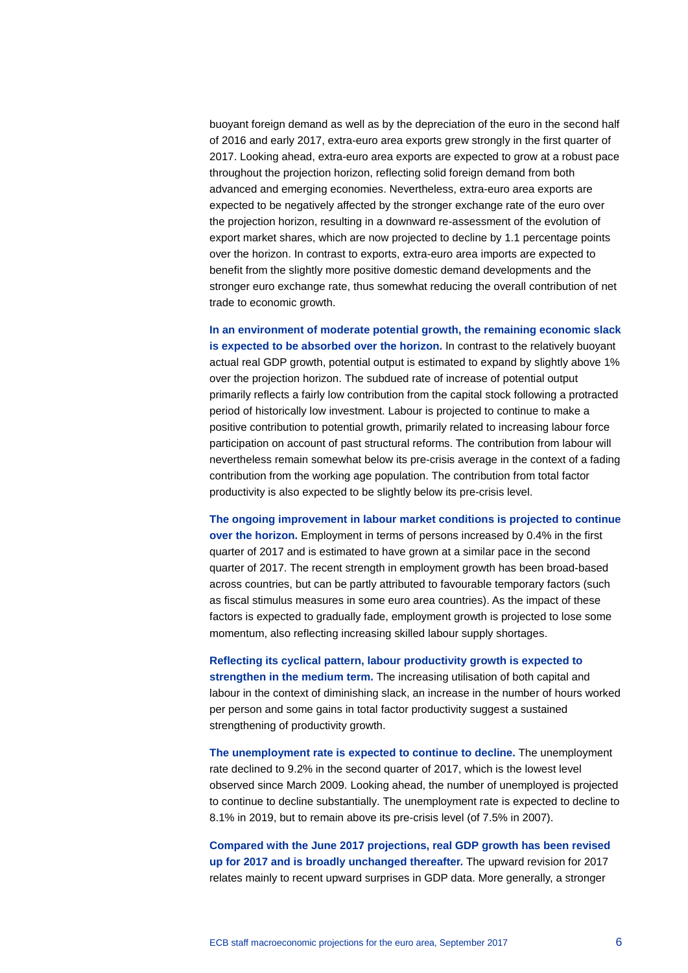buoyant foreign demand as well as by the depreciation of the euro in the second half of 2016 and early 2017, extra-euro area exports grew strongly in the first quarter of 2017. Looking ahead, extra-euro area exports are expected to grow at a robust pace throughout the projection horizon, reflecting solid foreign demand from both advanced and emerging economies. Nevertheless, extra-euro area exports are expected to be negatively affected by the stronger exchange rate of the euro over the projection horizon, resulting in a downward re-assessment of the evolution of export market shares, which are now projected to decline by 1.1 percentage points over the horizon. In contrast to exports, extra-euro area imports are expected to benefit from the slightly more positive domestic demand developments and the stronger euro exchange rate, thus somewhat reducing the overall contribution of net trade to economic growth.

**In an environment of moderate potential growth, the remaining economic slack is expected to be absorbed over the horizon.** In contrast to the relatively buoyant actual real GDP growth, potential output is estimated to expand by slightly above 1% over the projection horizon. The subdued rate of increase of potential output primarily reflects a fairly low contribution from the capital stock following a protracted period of historically low investment. Labour is projected to continue to make a positive contribution to potential growth, primarily related to increasing labour force participation on account of past structural reforms. The contribution from labour will nevertheless remain somewhat below its pre-crisis average in the context of a fading contribution from the working age population. The contribution from total factor productivity is also expected to be slightly below its pre-crisis level.

**The ongoing improvement in labour market conditions is projected to continue over the horizon.** Employment in terms of persons increased by 0.4% in the first quarter of 2017 and is estimated to have grown at a similar pace in the second quarter of 2017. The recent strength in employment growth has been broad-based across countries, but can be partly attributed to favourable temporary factors (such as fiscal stimulus measures in some euro area countries). As the impact of these factors is expected to gradually fade, employment growth is projected to lose some momentum, also reflecting increasing skilled labour supply shortages.

**Reflecting its cyclical pattern, labour productivity growth is expected to strengthen in the medium term.** The increasing utilisation of both capital and labour in the context of diminishing slack, an increase in the number of hours worked per person and some gains in total factor productivity suggest a sustained strengthening of productivity growth.

**The unemployment rate is expected to continue to decline.** The unemployment rate declined to 9.2% in the second quarter of 2017, which is the lowest level observed since March 2009. Looking ahead, the number of unemployed is projected to continue to decline substantially. The unemployment rate is expected to decline to 8.1% in 2019, but to remain above its pre-crisis level (of 7.5% in 2007).

**Compared with the June 2017 projections, real GDP growth has been revised up for 2017 and is broadly unchanged thereafter.** The upward revision for 2017 relates mainly to recent upward surprises in GDP data. More generally, a stronger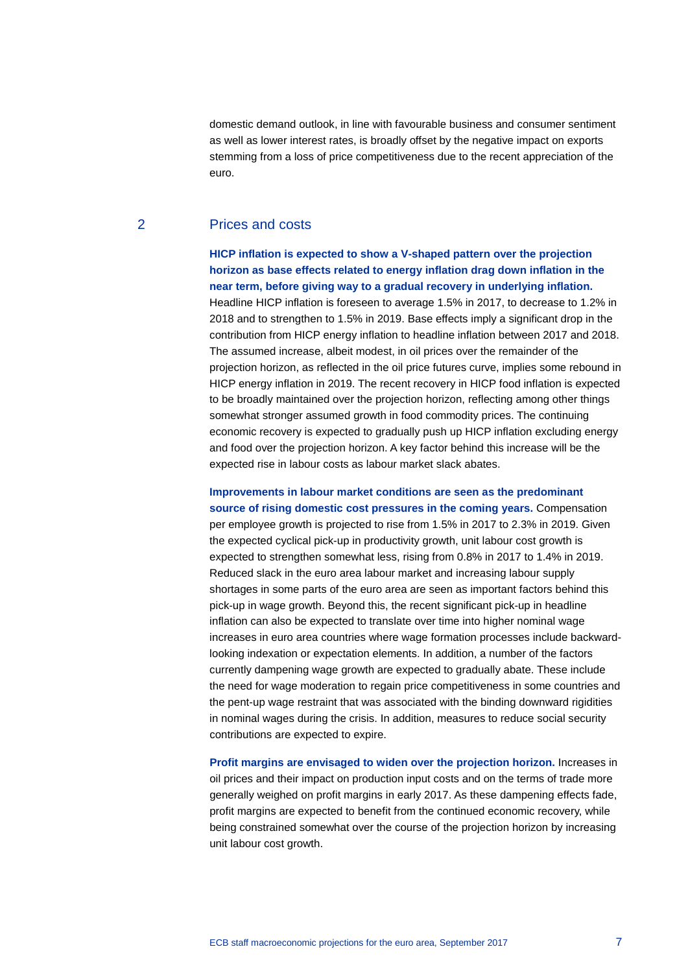domestic demand outlook, in line with favourable business and consumer sentiment as well as lower interest rates, is broadly offset by the negative impact on exports stemming from a loss of price competitiveness due to the recent appreciation of the euro.

#### 2 Prices and costs

**HICP inflation is expected to show a V-shaped pattern over the projection horizon as base effects related to energy inflation drag down inflation in the near term, before giving way to a gradual recovery in underlying inflation.** Headline HICP inflation is foreseen to average 1.5% in 2017, to decrease to 1.2% in 2018 and to strengthen to 1.5% in 2019. Base effects imply a significant drop in the contribution from HICP energy inflation to headline inflation between 2017 and 2018. The assumed increase, albeit modest, in oil prices over the remainder of the projection horizon, as reflected in the oil price futures curve, implies some rebound in HICP energy inflation in 2019. The recent recovery in HICP food inflation is expected to be broadly maintained over the projection horizon, reflecting among other things somewhat stronger assumed growth in food commodity prices. The continuing economic recovery is expected to gradually push up HICP inflation excluding energy and food over the projection horizon. A key factor behind this increase will be the expected rise in labour costs as labour market slack abates.

**Improvements in labour market conditions are seen as the predominant source of rising domestic cost pressures in the coming years.** Compensation per employee growth is projected to rise from 1.5% in 2017 to 2.3% in 2019. Given the expected cyclical pick-up in productivity growth, unit labour cost growth is expected to strengthen somewhat less, rising from 0.8% in 2017 to 1.4% in 2019. Reduced slack in the euro area labour market and increasing labour supply shortages in some parts of the euro area are seen as important factors behind this pick-up in wage growth. Beyond this, the recent significant pick-up in headline inflation can also be expected to translate over time into higher nominal wage increases in euro area countries where wage formation processes include backwardlooking indexation or expectation elements. In addition, a number of the factors currently dampening wage growth are expected to gradually abate. These include the need for wage moderation to regain price competitiveness in some countries and the pent-up wage restraint that was associated with the binding downward rigidities in nominal wages during the crisis. In addition, measures to reduce social security contributions are expected to expire.

**Profit margins are envisaged to widen over the projection horizon.** Increases in oil prices and their impact on production input costs and on the terms of trade more generally weighed on profit margins in early 2017. As these dampening effects fade, profit margins are expected to benefit from the continued economic recovery, while being constrained somewhat over the course of the projection horizon by increasing unit labour cost growth.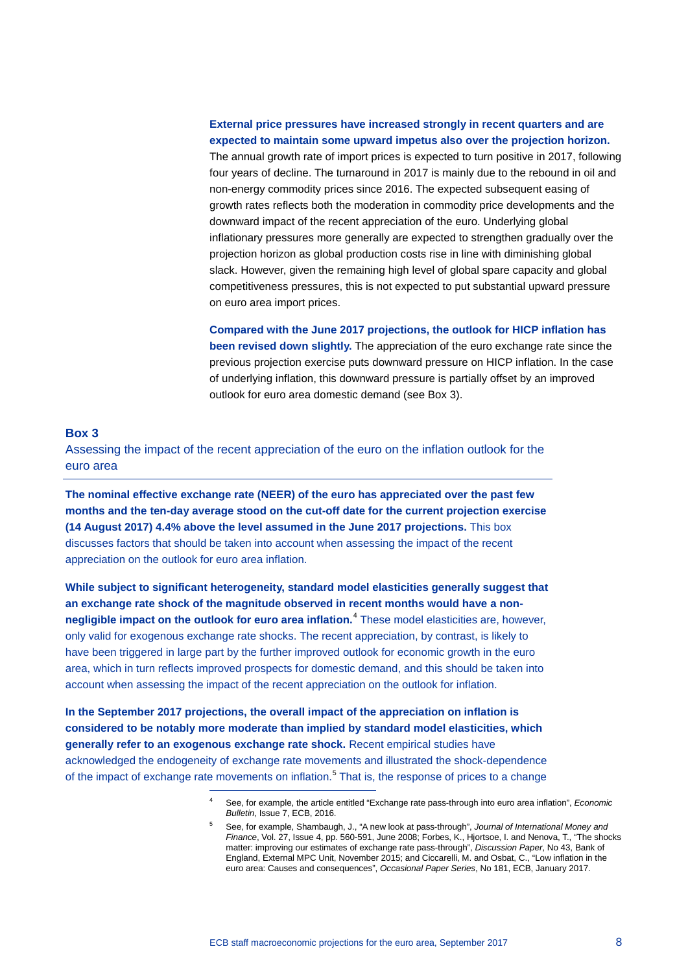#### **External price pressures have increased strongly in recent quarters and are expected to maintain some upward impetus also over the projection horizon.**

The annual growth rate of import prices is expected to turn positive in 2017, following four years of decline. The turnaround in 2017 is mainly due to the rebound in oil and non-energy commodity prices since 2016. The expected subsequent easing of growth rates reflects both the moderation in commodity price developments and the downward impact of the recent appreciation of the euro. Underlying global inflationary pressures more generally are expected to strengthen gradually over the projection horizon as global production costs rise in line with diminishing global slack. However, given the remaining high level of global spare capacity and global competitiveness pressures, this is not expected to put substantial upward pressure on euro area import prices.

**Compared with the June 2017 projections, the outlook for HICP inflation has been revised down slightly.** The appreciation of the euro exchange rate since the previous projection exercise puts downward pressure on HICP inflation. In the case of underlying inflation, this downward pressure is partially offset by an improved outlook for euro area domestic demand (see Box 3).

#### **Box 3**

Assessing the impact of the recent appreciation of the euro on the inflation outlook for the euro area

**The nominal effective exchange rate (NEER) of the euro has appreciated over the past few months and the ten-day average stood on the cut-off date for the current projection exercise (14 August 2017) 4.4% above the level assumed in the June 2017 projections.** This box discusses factors that should be taken into account when assessing the impact of the recent appreciation on the outlook for euro area inflation.

**While subject to significant heterogeneity, standard model elasticities generally suggest that an exchange rate shock of the magnitude observed in recent months would have a nonnegligible impact on the outlook for euro area inflation.**[4](#page-7-0) These model elasticities are, however, only valid for exogenous exchange rate shocks. The recent appreciation, by contrast, is likely to have been triggered in large part by the further improved outlook for economic growth in the euro area, which in turn reflects improved prospects for domestic demand, and this should be taken into account when assessing the impact of the recent appreciation on the outlook for inflation.

<span id="page-7-1"></span><span id="page-7-0"></span>**In the September 2017 projections, the overall impact of the appreciation on inflation is considered to be notably more moderate than implied by standard model elasticities, which generally refer to an exogenous exchange rate shock.** Recent empirical studies have acknowledged the endogeneity of exchange rate movements and illustrated the shock-dependence of the impact of exchange rate movements on inflation.<sup>[5](#page-7-1)</sup> That is, the response of prices to a change

-

<sup>4</sup> See, for example, the article entitled "Exchange rate pass-through into euro area inflation", *Economic Bulletin*, Issue 7, ECB, 2016.

<sup>5</sup> See, for example, Shambaugh, J., "A new look at pass-through", *Journal of International Money and Finance*, Vol. 27, Issue 4, pp. 560-591, June 2008; Forbes, K., Hjortsoe, I. and Nenova, T., "The shocks matter: improving our estimates of exchange rate pass-through", *Discussion Paper*, No 43, Bank of England, External MPC Unit, November 2015; and Ciccarelli, M. and Osbat, C., "Low inflation in the euro area: Causes and consequences", *Occasional Paper Series*, No 181, ECB, January 2017.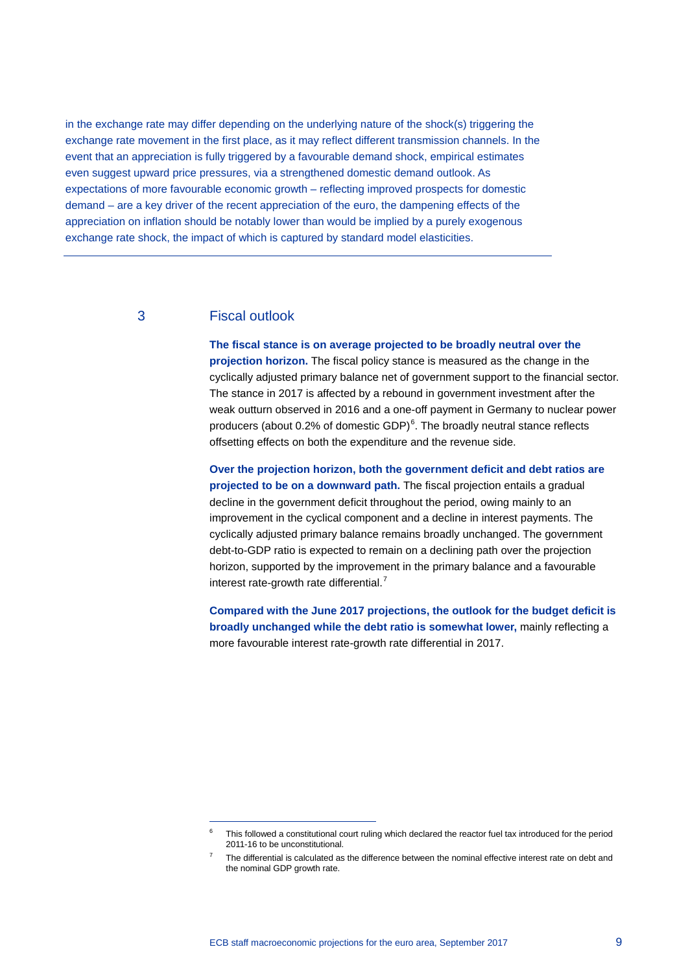in the exchange rate may differ depending on the underlying nature of the shock(s) triggering the exchange rate movement in the first place, as it may reflect different transmission channels. In the event that an appreciation is fully triggered by a favourable demand shock, empirical estimates even suggest upward price pressures, via a strengthened domestic demand outlook. As expectations of more favourable economic growth – reflecting improved prospects for domestic demand – are a key driver of the recent appreciation of the euro, the dampening effects of the appreciation on inflation should be notably lower than would be implied by a purely exogenous exchange rate shock, the impact of which is captured by standard model elasticities.

#### 3 Fiscal outlook

-

**The fiscal stance is on average projected to be broadly neutral over the projection horizon.** The fiscal policy stance is measured as the change in the cyclically adjusted primary balance net of government support to the financial sector. The stance in 2017 is affected by a rebound in government investment after the weak outturn observed in 2016 and a one-off payment in Germany to nuclear power producers (about 0.2% of domestic GDP)<sup>[6](#page-8-0)</sup>. The broadly neutral stance reflects offsetting effects on both the expenditure and the revenue side.

**Over the projection horizon, both the government deficit and debt ratios are projected to be on a downward path.** The fiscal projection entails a gradual decline in the government deficit throughout the period, owing mainly to an improvement in the cyclical component and a decline in interest payments. The cyclically adjusted primary balance remains broadly unchanged. The government debt-to-GDP ratio is expected to remain on a declining path over the projection horizon, supported by the improvement in the primary balance and a favourable interest rate-growth rate differential. $<sup>7</sup>$  $<sup>7</sup>$  $<sup>7</sup>$ </sup>

**Compared with the June 2017 projections, the outlook for the budget deficit is broadly unchanged while the debt ratio is somewhat lower,** mainly reflecting a more favourable interest rate-growth rate differential in 2017.

<span id="page-8-0"></span> $6$  This followed a constitutional court ruling which declared the reactor fuel tax introduced for the period 2011-16 to be unconstitutional.

<span id="page-8-1"></span><sup>7</sup> The differential is calculated as the difference between the nominal effective interest rate on debt and the nominal GDP growth rate.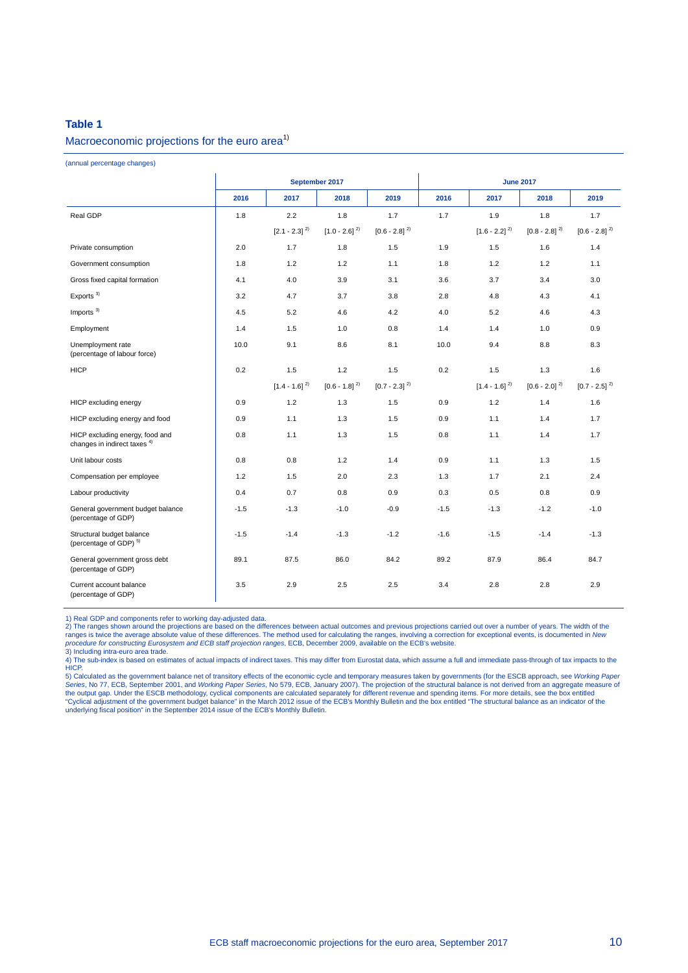#### **Table 1**

#### Macroeconomic projections for the euro area<sup>1)</sup>

(annual percentage changes)

|                                                                            | September 2017 |                                     |                                    |                   | <b>June 2017</b> |                   |                   |                             |  |
|----------------------------------------------------------------------------|----------------|-------------------------------------|------------------------------------|-------------------|------------------|-------------------|-------------------|-----------------------------|--|
|                                                                            | 2016           | 2017                                | 2018                               | 2019              | 2016             | 2017              | 2018              | 2019                        |  |
| Real GDP                                                                   | 1.8            | 2.2                                 | 1.8                                | 1.7               | 1.7              | 1.9               | 1.8               | 1.7                         |  |
|                                                                            |                | $\left[ 2.1 \cdot 2.3 \right]^{2)}$ | $\left[1.0$ - $2.6\right]$ $^{2)}$ | $[0.6 - 2.8]^{2}$ |                  | $[1.6 - 2.2]^{2}$ | $[0.8 - 2.8]^{2}$ | $[0.6 - 2.8]^{2}$           |  |
| Private consumption                                                        | 2.0            | 1.7                                 | 1.8                                | 1.5               | 1.9              | 1.5               | 1.6               | 1.4                         |  |
| Government consumption                                                     | 1.8            | 1.2                                 | 1.2                                | 1.1               | 1.8              | 1.2               | 1.2               | 1.1                         |  |
| Gross fixed capital formation                                              | 4.1            | 4.0                                 | 3.9                                | 3.1               | 3.6              | 3.7               | 3.4               | 3.0                         |  |
| Exports $3)$                                                               | 3.2            | 4.7                                 | 3.7                                | 3.8               | 2.8              | 4.8               | 4.3               | 4.1                         |  |
| Imports $3)$                                                               | 4.5            | 5.2                                 | 4.6                                | 4.2               | 4.0              | 5.2               | 4.6               | 4.3                         |  |
| Employment                                                                 | 1.4            | 1.5                                 | 1.0                                | 0.8               | 1.4              | 1.4               | 1.0               | 0.9                         |  |
| Unemployment rate<br>(percentage of labour force)                          | 10.0           | 9.1                                 | 8.6                                | 8.1               | 10.0             | 9.4               | 8.8               | 8.3                         |  |
| <b>HICP</b>                                                                | 0.2            | 1.5                                 | 1.2                                | 1.5               | 0.2              | 1.5               | 1.3               | 1.6                         |  |
|                                                                            |                | $[1.4 - 1.6]^{2}$                   | $[0.6 - 1.8]^{2}$                  | $[0.7 - 2.3]^{2}$ |                  | $[1.4 - 1.6]^{2}$ | $[0.6 - 2.0]^{2}$ | $[0.7 - 2.5]$ <sup>2)</sup> |  |
| HICP excluding energy                                                      | 0.9            | 1.2                                 | 1.3                                | 1.5               | 0.9              | 1.2               | 1.4               | 1.6                         |  |
| HICP excluding energy and food                                             | 0.9            | 1.1                                 | 1.3                                | 1.5               | 0.9              | 1.1               | 1.4               | 1.7                         |  |
| HICP excluding energy, food and<br>changes in indirect taxes <sup>4)</sup> | 0.8            | 1.1                                 | 1.3                                | 1.5               | 0.8              | 1.1               | 1.4               | 1.7                         |  |
| Unit labour costs                                                          | 0.8            | 0.8                                 | 1.2                                | 1.4               | 0.9              | 1.1               | 1.3               | 1.5                         |  |
| Compensation per employee                                                  | 1.2            | 1.5                                 | 2.0                                | 2.3               | 1.3              | 1.7               | 2.1               | 2.4                         |  |
| Labour productivity                                                        | 0.4            | 0.7                                 | 0.8                                | 0.9               | 0.3              | 0.5               | 0.8               | 0.9                         |  |
| General government budget balance<br>(percentage of GDP)                   | $-1.5$         | $-1.3$                              | $-1.0$                             | $-0.9$            | $-1.5$           | $-1.3$            | $-1.2$            | $-1.0$                      |  |
| Structural budget balance<br>(percentage of GDP) <sup>5)</sup>             | $-1.5$         | $-1.4$                              | $-1.3$                             | $-1.2$            | $-1.6$           | $-1.5$            | $-1.4$            | $-1.3$                      |  |
| General government gross debt<br>(percentage of GDP)                       | 89.1           | 87.5                                | 86.0                               | 84.2              | 89.2             | 87.9              | 86.4              | 84.7                        |  |
| Current account balance<br>(percentage of GDP)                             | 3.5            | 2.9                                 | 2.5                                | 2.5               | 3.4              | 2.8               | 2.8               | 2.9                         |  |

1) Real GDP and components refer to working day-adjusted data.<br>2) The ranges shown around the projections are based on the differences between actual outcomes and previous projections carried out over a number of years. Th

3) Including intra-euro area trade.

4) The sub-index is based on estimates of actual impacts of indirect taxes. This may differ from Eurostat data, which assume a full and immediate pass-through of tax impacts to the HICP.

5) Calculated as the government balance net of transitory effects of the economic cycle and temporary measures taken by governments (for the ESCB approach, see *Working Paper*<br>Ser*ies*, No 77, ECB, September 2001, and *Wor* the output gap. Under the ESCB methodology, cyclical components are calculated separately for different revenue and spending items. For more details, see the box entitled<br>"Cyclical adjustment of the government budget balan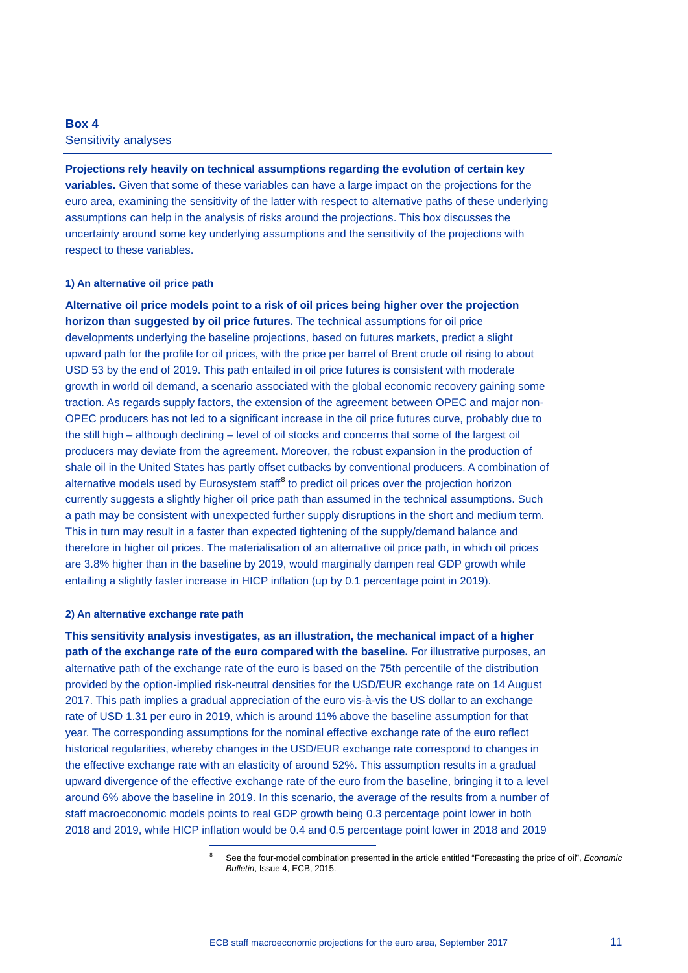## **Box 4**

Sensitivity analyses

**Projections rely heavily on technical assumptions regarding the evolution of certain key variables.** Given that some of these variables can have a large impact on the projections for the euro area, examining the sensitivity of the latter with respect to alternative paths of these underlying assumptions can help in the analysis of risks around the projections. This box discusses the uncertainty around some key underlying assumptions and the sensitivity of the projections with respect to these variables.

#### **1) An alternative oil price path**

**Alternative oil price models point to a risk of oil prices being higher over the projection horizon than suggested by oil price futures.** The technical assumptions for oil price developments underlying the baseline projections, based on futures markets, predict a slight upward path for the profile for oil prices, with the price per barrel of Brent crude oil rising to about USD 53 by the end of 2019. This path entailed in oil price futures is consistent with moderate growth in world oil demand, a scenario associated with the global economic recovery gaining some traction. As regards supply factors, the extension of the agreement between OPEC and major non-OPEC producers has not led to a significant increase in the oil price futures curve, probably due to the still high – although declining – level of oil stocks and concerns that some of the largest oil producers may deviate from the agreement. Moreover, the robust expansion in the production of shale oil in the United States has partly offset cutbacks by conventional producers. A combination of alternative models used by Eurosystem staff $<sup>8</sup>$  $<sup>8</sup>$  $<sup>8</sup>$  to predict oil prices over the projection horizon</sup> currently suggests a slightly higher oil price path than assumed in the technical assumptions. Such a path may be consistent with unexpected further supply disruptions in the short and medium term. This in turn may result in a faster than expected tightening of the supply/demand balance and therefore in higher oil prices. The materialisation of an alternative oil price path, in which oil prices are 3.8% higher than in the baseline by 2019, would marginally dampen real GDP growth while entailing a slightly faster increase in HICP inflation (up by 0.1 percentage point in 2019).

#### **2) An alternative exchange rate path**

<span id="page-10-0"></span>-

**This sensitivity analysis investigates, as an illustration, the mechanical impact of a higher path of the exchange rate of the euro compared with the baseline.** For illustrative purposes, an alternative path of the exchange rate of the euro is based on the 75th percentile of the distribution provided by the option-implied risk-neutral densities for the USD/EUR exchange rate on 14 August 2017. This path implies a gradual appreciation of the euro vis-à-vis the US dollar to an exchange rate of USD 1.31 per euro in 2019, which is around 11% above the baseline assumption for that year. The corresponding assumptions for the nominal effective exchange rate of the euro reflect historical regularities, whereby changes in the USD/EUR exchange rate correspond to changes in the effective exchange rate with an elasticity of around 52%. This assumption results in a gradual upward divergence of the effective exchange rate of the euro from the baseline, bringing it to a level around 6% above the baseline in 2019. In this scenario, the average of the results from a number of staff macroeconomic models points to real GDP growth being 0.3 percentage point lower in both 2018 and 2019, while HICP inflation would be 0.4 and 0.5 percentage point lower in 2018 and 2019

<sup>8</sup> See the four-model combination presented in the article entitled "Forecasting the price of oil", *Economic Bulletin*, Issue 4, ECB, 2015.